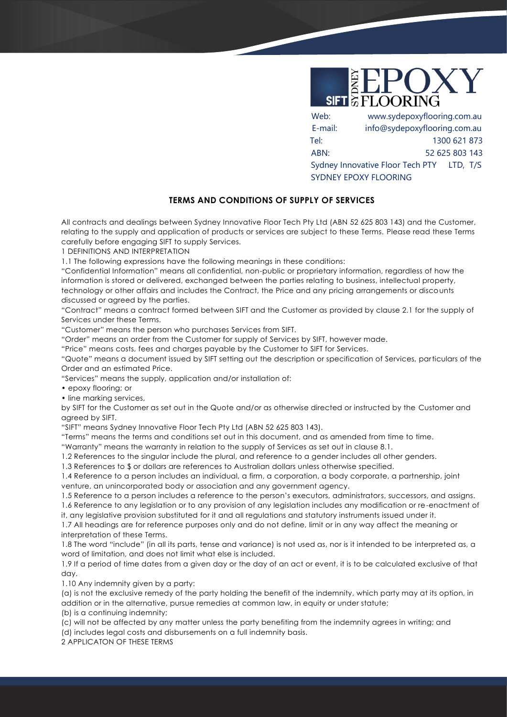

## **TERMS AND CONDITIONS OF SUPPLY OF SERVICES**

All contracts and dealings between Sydney Innovative Floor Tech Pty Ltd (ABN 52 625 803 143) and the Customer, relating to the supply and application of products or services are subject to these Terms. Please read these Terms carefully before engaging SIFT to supply Services.

1 DEFINITIONS AND INTERPRETATION

1.1 The following expressions have the following meanings in these conditions:

"Confidential Information" means all confidential, non-public or proprietary information, regardless of how the information is stored or delivered, exchanged between the parties relating to business, intellectual property, technology or other affairs and includes the Contract, the Price and any pricing arrangements or discounts discussed or agreed by the parties.

"Contract" means a contract formed between SIFT and the Customer as provided by clause 2.1 for the supply of Services under these Terms.

"Customer" means the person who purchases Services from SIFT.

"Order" means an order from the Customer for supply of Services by SIFT, however made.

"Price" means costs, fees and charges payable by the Customer to SIFT for Services.

"Quote" means a document issued by SIFT setting out the description or specification of Services, particulars of the Order and an estimated Price.

"Services" means the supply, application and/or installation of:

• epoxy flooring; or

• line marking services,

by SIFT for the Customer as set out in the Quote and/or as otherwise directed or instructed by the Customer and agreed by SIFT.

"SIFT" means Sydney Innovative Floor Tech Pty Ltd (ABN 52 625 803 143).

"Terms" means the terms and conditions set out in this document, and as amended from time to time.

"Warranty" means the warranty in relation to the supply of Services as set out in clause 8.1.

1.2 References to the singular include the plural, and reference to a gender includes all other genders.

1.3 References to \$ or dollars are references to Australian dollars unless otherwise specified.

1.4 Reference to a person includes an individual, a firm, a corporation, a body corporate, a partnership, joint venture, an unincorporated body or association and any government agency.

1.5 Reference to a person includes a reference to the person's executors, administrators, successors, and assigns. 1.6 Reference to any legislation or to any provision of any legislation includes any modification or re-enactment of

it, any legislative provision substituted for it and all regulations and statutory instruments issued under it.

1.7 All headings are for reference purposes only and do not define, limit or in any way affect the meaning or interpretation of these Terms.

1.8 The word "include" (in all its parts, tense and variance) is not used as, nor is it intended to be interpreted as, a word of limitation, and does not limit what else is included.

1.9 If a period of time dates from a given day or the day of an act or event, it is to be calculated exclusive of that day.

1.10 Any indemnity given by a party:

(a) is not the exclusive remedy of the party holding the benefit of the indemnity, which party may at its option, in addition or in the alternative, pursue remedies at common law, in equity or under statute;

(b) is a continuing indemnity;

(c) will not be affected by any matter unless the party benefiting from the indemnity agrees in writing; and (d) includes legal costs and disbursements on a full indemnity basis.

2 APPLICATON OF THESE TERMS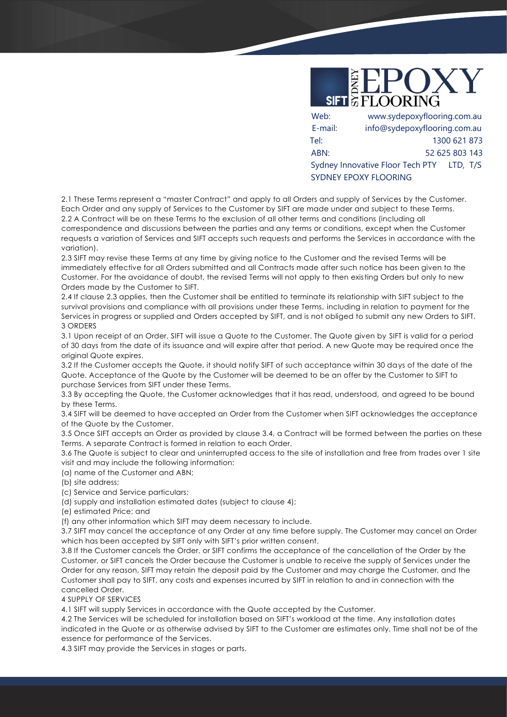

2.1 These Terms represent a "master Contract" and apply to all Orders and supply of Services by the Customer. Each Order and any supply of Services to the Customer by SIFT are made under and subject to these Terms. 2.2 A Contract will be on these Terms to the exclusion of all other terms and conditions (including all correspondence and discussions between the parties and any terms or conditions, except when the Customer requests a variation of Services and SIFT accepts such requests and performs the Services in accordance with the variation).

2.3 SIFT may revise these Terms at any time by giving notice to the Customer and the revised Terms will be immediately effective for all Orders submitted and all Contracts made after such notice has been given to the Customer. For the avoidance of doubt, the revised Terms will not apply to then existing Orders but only to new Orders made by the Customer to SIFT.

2.4 If clause 2.3 applies, then the Customer shall be entitled to terminate its relationship with SIFT subject to the survival provisions and compliance with all provisions under these Terms, including in relation to payment for the Services in progress or supplied and Orders accepted by SIFT, and is not obliged to submit any new Orders to SIFT. 3 ORDERS

3.1 Upon receipt of an Order, SIFT will issue a Quote to the Customer. The Quote given by SIFT is valid for a period of 30 days from the date of its issuance and will expire after that period. A new Quote may be required once the original Quote expires.

3.2 If the Customer accepts the Quote, it should notify SIFT of such acceptance within 30 days of the date of the Quote. Acceptance of the Quote by the Customer will be deemed to be an offer by the Customer to SIFT to purchase Services from SIFT under these Terms.

3.3 By accepting the Quote, the Customer acknowledges that it has read, understood, and agreed to be bound by these Terms.

3.4 SIFT will be deemed to have accepted an Order from the Customer when SIFT acknowledges the acceptance of the Quote by the Customer.

3.5 Once SIFT accepts an Order as provided by clause 3.4, a Contract will be formed between the parties on these Terms. A separate Contract is formed in relation to each Order.

3.6 The Quote is subject to clear and uninterrupted access to the site of installation and free from trades over 1 site visit and may include the following information:

(a) name of the Customer and ABN;

(b) site address;

(c) Service and Service particulars;

(d) supply and installation estimated dates (subject to clause 4);

(e) estimated Price; and

(f) any other information which SIFT may deem necessary to include.

3.7 SIFT may cancel the acceptance of any Order at any time before supply. The Customer may cancel an Order which has been accepted by SIFT only with SIFT's prior written consent.

3.8 If the Customer cancels the Order, or SIFT confirms the acceptance of the cancellation of the Order by the Customer, or SIFT cancels the Order because the Customer is unable to receive the supply of Services under the Order for any reason, SIFT may retain the deposit paid by the Customer and may charge the Customer, and the Customer shall pay to SIFT, any costs and expenses incurred by SIFT in relation to and in connection with the cancelled Order.

4 SUPPLY OF SERVICES

4.1 SIFT will supply Services in accordance with the Quote accepted by the Customer.

4.2 The Services will be scheduled for installation based on SIFT's workload at the time. Any installation dates indicated in the Quote or as otherwise advised by SIFT to the Customer are estimates only. Time shall not be of the essence for performance of the Services.

4.3 SIFT may provide the Services in stages or parts.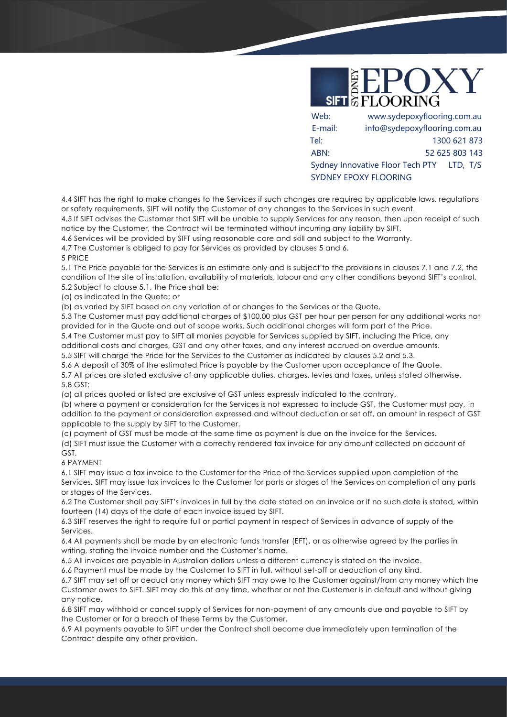

| Web:    | www.sydepoxyflooring.com.au               |                |
|---------|-------------------------------------------|----------------|
| E-mail: | info@sydepoxyflooring.com.au              |                |
| Tel:    |                                           | 1300 621 873   |
| ABN:    |                                           | 52 625 803 143 |
|         | Sydney Innovative Floor Tech PTY LTD, T/S |                |
|         | SYDNEY EPOXY FLOORING                     |                |

4.4 SIFT has the right to make changes to the Services if such changes are required by applicable laws, regulations or safety requirements. SIFT will notify the Customer of any changes to the Services in such event.

4.5 If SIFT advises the Customer that SIFT will be unable to supply Services for any reason, then upon receipt of such notice by the Customer, the Contract will be terminated without incurring any liability by SIFT.

4.6 Services will be provided by SIFT using reasonable care and skill and subject to the Warranty.

4.7 The Customer is obliged to pay for Services as provided by clauses 5 and 6.

## 5 PRICE

5.1 The Price payable for the Services is an estimate only and is subject to the provisions in clauses 7.1 and 7.2, the condition of the site of installation, availability of materials, labour and any other conditions beyond SIFT's control. 5.2 Subject to clause 5.1, the Price shall be:

(a) as indicated in the Quote; or

(b) as varied by SIFT based on any variation of or changes to the Services or the Quote.

5.3 The Customer must pay additional charges of \$100.00 plus GST per hour per person for any additional works not provided for in the Quote and out of scope works. Such additional charges will form part of the Price.

5.4 The Customer must pay to SIFT all monies payable for Services supplied by SIFT, including the Price, any additional costs and charges, GST and any other taxes, and any interest accrued on overdue amounts.

5.5 SIFT will charge the Price for the Services to the Customer as indicated by clauses 5.2 and 5.3.

5.6 A deposit of 30% of the estimated Price is payable by the Customer upon acceptance of the Quote. 5.7 All prices are stated exclusive of any applicable duties, charges, levies and taxes, unless stated otherwise. 5.8 GST:

(a) all prices quoted or listed are exclusive of GST unless expressly indicated to the contrary.

(b) where a payment or consideration for the Services is not expressed to include GST, the Customer must pay, in addition to the payment or consideration expressed and without deduction or set off, an amount in respect of GST applicable to the supply by SIFT to the Customer.

(c) payment of GST must be made at the same time as payment is due on the invoice for the Services.

(d) SIFT must issue the Customer with a correctly rendered tax invoice for any amount collected on account of GST.

6 PAYMENT

6.1 SIFT may issue a tax invoice to the Customer for the Price of the Services supplied upon completion of the Services. SIFT may issue tax invoices to the Customer for parts or stages of the Services on completion of any parts or stages of the Services.

6.2 The Customer shall pay SIFT's invoices in full by the date stated on an invoice or if no such date is stated, within fourteen (14) days of the date of each invoice issued by SIFT.

6.3 SIFT reserves the right to require full or partial payment in respect of Services in advance of supply of the Services.

6.4 All payments shall be made by an electronic funds transfer (EFT), or as otherwise agreed by the parties in writing, stating the invoice number and the Customer's name.

6.5 All invoices are payable in Australian dollars unless a different currency is stated on the invoice.

6.6 Payment must be made by the Customer to SIFT in full, without set-off or deduction of any kind.

6.7 SIFT may set off or deduct any money which SIFT may owe to the Customer against/from any money which the Customer owes to SIFT. SIFT may do this at any time, whether or not the Customer is in default and without giving any notice.

6.8 SIFT may withhold or cancel supply of Services for non-payment of any amounts due and payable to SIFT by the Customer or for a breach of these Terms by the Customer.

6.9 All payments payable to SIFT under the Contract shall become due immediately upon termination of the Contract despite any other provision.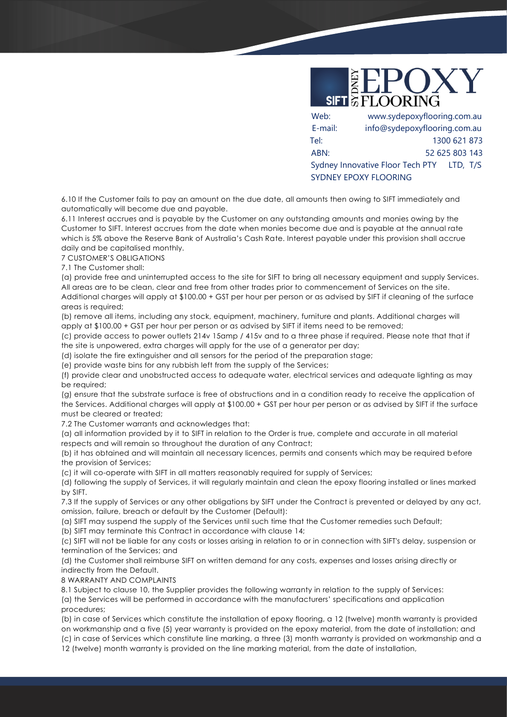

6.10 If the Customer fails to pay an amount on the due date, all amounts then owing to SIFT immediately and automatically will become due and payable.

6.11 Interest accrues and is payable by the Customer on any outstanding amounts and monies owing by the Customer to SIFT. Interest accrues from the date when monies become due and is payable at the annual rate which is 5% above the Reserve Bank of Australia's Cash Rate. Interest payable under this provision shall accrue daily and be capitalised monthly.

7 CUSTOMER'S OBLIGATIONS

7.1 The Customer shall:

(a) provide free and uninterrupted access to the site for SIFT to bring all necessary equipment and supply Services. All areas are to be clean, clear and free from other trades prior to commencement of Services on the site. Additional charges will apply at \$100.00 + GST per hour per person or as advised by SIFT if cleaning of the surface areas is required;

(b) remove all items, including any stock, equipment, machinery, furniture and plants. Additional charges will apply at \$100.00 + GST per hour per person or as advised by SIFT if items need to be removed;

(c) provide access to power outlets 214v 15amp / 415v and to a three phase if required. Please note that that if the site is unpowered, extra charges will apply for the use of a generator per day;

(d) isolate the fire extinguisher and all sensors for the period of the preparation stage;

(e) provide waste bins for any rubbish left from the supply of the Services;

(f) provide clear and unobstructed access to adequate water, electrical services and adequate lighting as may be required;

(g) ensure that the substrate surface is free of obstructions and in a condition ready to receive the application of the Services. Additional charges will apply at \$100.00 + GST per hour per person or as advised by SIFT if the surface must be cleared or treated;

7.2 The Customer warrants and acknowledges that:

(a) all information provided by it to SIFT in relation to the Order is true, complete and accurate in all material respects and will remain so throughout the duration of any Contract;

(b) it has obtained and will maintain all necessary licences, permits and consents which may be required before the provision of Services;

(c) it will co-operate with SIFT in all matters reasonably required for supply of Services;

(d) following the supply of Services, it will regularly maintain and clean the epoxy flooring installed or lines marked by SIFT.

7.3 If the supply of Services or any other obligations by SIFT under the Contract is prevented or delayed by any act, omission, failure, breach or default by the Customer (Default):

(a) SIFT may suspend the supply of the Services until such time that the Customer remedies such Default;

(b) SIFT may terminate this Contract in accordance with clause 14;

(c) SIFT will not be liable for any costs or losses arising in relation to or in connection with SIFT's delay, suspension or termination of the Services; and

(d) the Customer shall reimburse SIFT on written demand for any costs, expenses and losses arising directly or indirectly from the Default.

8 WARRANTY AND COMPLAINTS

8.1 Subject to clause 10, the Supplier provides the following warranty in relation to the supply of Services:

(a) the Services will be performed in accordance with the manufacturers' specifications and application procedures;

(b) in case of Services which constitute the installation of epoxy flooring, a 12 (twelve) month warranty is provided on workmanship and a five (5) year warranty is provided on the epoxy material, from the date of installation; and (c) in case of Services which constitute line marking, a three (3) month warranty is provided on workmanship and a

12 (twelve) month warranty is provided on the line marking material, from the date of installation,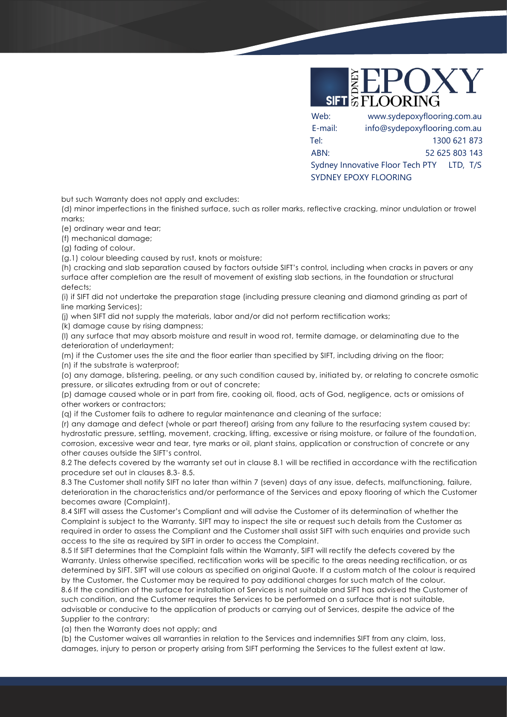

but such Warranty does not apply and excludes:

(d) minor imperfections in the finished surface, such as roller marks, reflective cracking, minor undulation or trowel marks;

(e) ordinary wear and tear;

(f) mechanical damage;

(g) fading of colour.

(g.1) colour bleeding caused by rust, knots or moisture;

(h) cracking and slab separation caused by factors outside SIFT's control, including when cracks in pavers or any surface after completion are the result of movement of existing slab sections, in the foundation or structural defects;

(i) if SIFT did not undertake the preparation stage (including pressure cleaning and diamond grinding as part of line marking Services);

(j) when SIFT did not supply the materials, labor and/or did not perform rectification works;

(k) damage cause by rising dampness;

(l) any surface that may absorb moisture and result in wood rot, termite damage, or delaminating due to the deterioration of underlayment;

(m) if the Customer uses the site and the floor earlier than specified by SIFT, including driving on the floor;

(n) if the substrate is waterproof;

(o) any damage, blistering, peeling, or any such condition caused by, initiated by, or relating to concrete osmotic pressure, or silicates extruding from or out of concrete;

(p) damage caused whole or in part from fire, cooking oil, flood, acts of God, negligence, acts or omissions of other workers or contractors;

(q) if the Customer fails to adhere to regular maintenance and cleaning of the surface;

(r) any damage and defect (whole or part thereof) arising from any failure to the resurfacing system caused by: hydrostatic pressure, settling, movement, cracking, lifting, excessive or rising moisture, or failure of the foundation, corrosion, excessive wear and tear, tyre marks or oil, plant stains, application or construction of concrete or any other causes outside the SIFT's control.

8.2 The defects covered by the warranty set out in clause 8.1 will be rectified in accordance with the rectification procedure set out in clauses 8.3- 8.5.

8.3 The Customer shall notify SIFT no later than within 7 (seven) days of any issue, defects, malfunctioning, failure, deterioration in the characteristics and/or performance of the Services and epoxy flooring of which the Customer becomes aware (Complaint).

8.4 SIFT will assess the Customer's Compliant and will advise the Customer of its determination of whether the Complaint is subject to the Warranty. SIFT may to inspect the site or request such details from the Customer as required in order to assess the Compliant and the Customer shall assist SIFT with such enquiries and provide such access to the site as required by SIFT in order to access the Complaint.

8.5 If SIFT determines that the Complaint falls within the Warranty, SIFT will rectify the defects covered by the Warranty. Unless otherwise specified, rectification works will be specific to the areas needing rectification, or as determined by SIFT. SIFT will use colours as specified on original Quote. If a custom match of the colour is required by the Customer, the Customer may be required to pay additional charges for such match of the colour. 8.6 If the condition of the surface for installation of Services is not suitable and SIFT has advised the Customer of such condition, and the Customer requires the Services to be performed on a surface that is not suitable, advisable or conducive to the application of products or carrying out of Services, despite the advice of the Supplier to the contrary:

(a) then the Warranty does not apply; and

(b) the Customer waives all warranties in relation to the Services and indemnifies SIFT from any claim, loss, damages, injury to person or property arising from SIFT performing the Services to the fullest extent at law.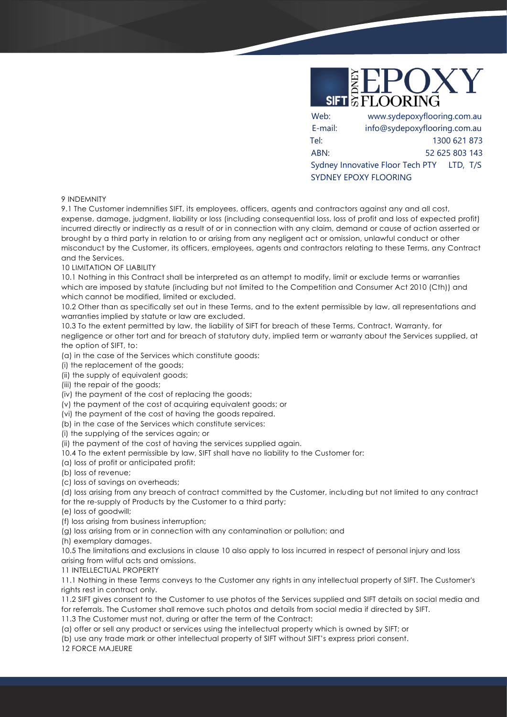

9 INDEMNITY

9.1 The Customer indemnifies SIFT, its employees, officers, agents and contractors against any and all cost, expense, damage, judgment, liability or loss (including consequential loss, loss of profit and loss of expected profit) incurred directly or indirectly as a result of or in connection with any claim, demand or cause of action asserted or brought by a third party in relation to or arising from any negligent act or omission, unlawful conduct or other misconduct by the Customer, its officers, employees, agents and contractors relating to these Terms, any Contract and the Services.

10 LIMITATION OF LIABILITY

10.1 Nothing in this Contract shall be interpreted as an attempt to modify, limit or exclude terms or warranties which are imposed by statute (including but not limited to the Competition and Consumer Act 2010 (Cth)) and which cannot be modified, limited or excluded.

10.2 Other than as specifically set out in these Terms, and to the extent permissible by law, all representations and warranties implied by statute or law are excluded.

10.3 To the extent permitted by law, the liability of SIFT for breach of these Terms, Contract, Warranty, for negligence or other tort and for breach of statutory duty, implied term or warranty about the Services supplied, at the option of SIFT, to:

(a) in the case of the Services which constitute goods:

(i) the replacement of the goods;

(ii) the supply of equivalent goods;

(iii) the repair of the goods;

(iv) the payment of the cost of replacing the goods;

(v) the payment of the cost of acquiring equivalent goods; or

(vi) the payment of the cost of having the goods repaired.

(b) in the case of the Services which constitute services:

(i) the supplying of the services again; or

(ii) the payment of the cost of having the services supplied again.

10.4 To the extent permissible by law, SIFT shall have no liability to the Customer for:

(a) loss of profit or anticipated profit;

(b) loss of revenue;

(c) loss of savings on overheads;

(d) loss arising from any breach of contract committed by the Customer, including but not limited to any contract

for the re-supply of Products by the Customer to a third party;

(e) loss of goodwill;

(f) loss arising from business interruption;

(g) loss arising from or in connection with any contamination or pollution; and

(h) exemplary damages.

10.5 The limitations and exclusions in clause 10 also apply to loss incurred in respect of personal injury and loss arising from wilful acts and omissions.

11 INTELLECTUAL PROPERTY

11.1 Nothing in these Terms conveys to the Customer any rights in any intellectual property of SIFT. The Customer's rights rest in contract only.

11.2 SIFT gives consent to the Customer to use photos of the Services supplied and SIFT details on social media and for referrals. The Customer shall remove such photos and details from social media if directed by SIFT.

11.3 The Customer must not, during or after the term of the Contract:

(a) offer or sell any product or services using the intellectual property which is owned by SIFT; or (b) use any trade mark or other intellectual property of SIFT without SIFT's express priori consent.

12 FORCE MAJEURE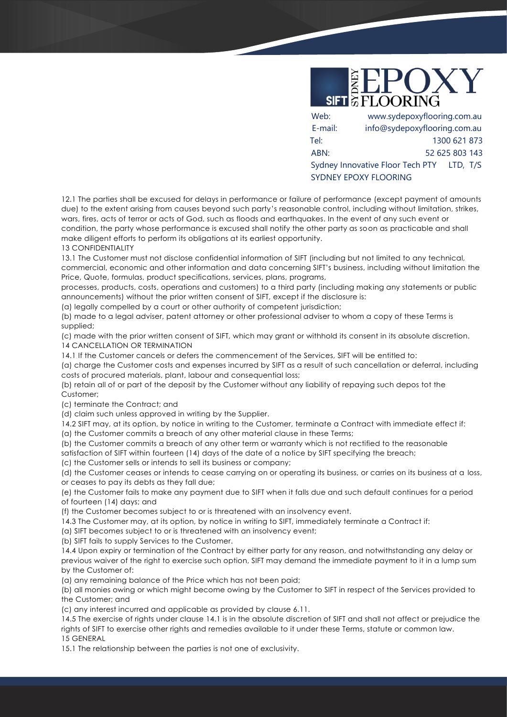

| Web:    | www.sydepoxyflooring.com.au                                        |                |
|---------|--------------------------------------------------------------------|----------------|
| E-mail: | info@sydepoxyflooring.com.au                                       |                |
| Tel:    |                                                                    | 1300 621 873   |
| ABN:    |                                                                    | 52 625 803 143 |
|         | Sydney Innovative Floor Tech PTY LTD, T/S<br>SYDNEY EPOXY FLOORING |                |
|         |                                                                    |                |

12.1 The parties shall be excused for delays in performance or failure of performance (except payment of amounts due) to the extent arising from causes beyond such party's reasonable control, including without limitation, strikes, wars, fires, acts of terror or acts of God, such as floods and earthquakes. In the event of any such event or condition, the party whose performance is excused shall notify the other party as soon as practicable and shall make diligent efforts to perform its obligations at its earliest opportunity.

13 CONFIDENTIALITY

13.1 The Customer must not disclose confidential information of SIFT (including but not limited to any technical, commercial, economic and other information and data concerning SIFT's business, including without limitation the Price, Quote, formulas, product specifications, services, plans, programs,

processes, products, costs, operations and customers) to a third party (including making any statements or public announcements) without the prior written consent of SIFT, except if the disclosure is:

(a) legally compelled by a court or other authority of competent jurisdiction;

(b) made to a legal adviser, patent attorney or other professional adviser to whom a copy of these Terms is supplied;

(c) made with the prior written consent of SIFT, which may grant or withhold its consent in its absolute discretion. 14 CANCELLATION OR TERMINATION

14.1 If the Customer cancels or defers the commencement of the Services, SIFT will be entitled to:

(a) charge the Customer costs and expenses incurred by SIFT as a result of such cancellation or deferral, including costs of procured materials, plant, labour and consequential loss;

(b) retain all of or part of the deposit by the Customer without any liability of repaying such depos tot the Customer;

(c) terminate the Contract; and

(d) claim such unless approved in writing by the Supplier.

14.2 SIFT may, at its option, by notice in writing to the Customer, terminate a Contract with immediate effect if: (a) the Customer commits a breach of any other material clause in these Terms;

(b) the Customer commits a breach of any other term or warranty which is not rectified to the reasonable

satisfaction of SIFT within fourteen (14) days of the date of a notice by SIFT specifying the breach;

(c) the Customer sells or intends to sell its business or company;

(d) the Customer ceases or intends to cease carrying on or operating its business, or carries on its business at a loss, or ceases to pay its debts as they fall due;

(e) the Customer fails to make any payment due to SIFT when it falls due and such default continues for a period of fourteen (14) days; and

(f) the Customer becomes subject to or is threatened with an insolvency event.

14.3 The Customer may, at its option, by notice in writing to SIFT, immediately terminate a Contract if:

(a) SIFT becomes subject to or is threatened with an insolvency event;

(b) SIFT fails to supply Services to the Customer.

14.4 Upon expiry or termination of the Contract by either party for any reason, and notwithstanding any delay or previous waiver of the right to exercise such option, SIFT may demand the immediate payment to it in a lump sum by the Customer of:

(a) any remaining balance of the Price which has not been paid;

(b) all monies owing or which might become owing by the Customer to SIFT in respect of the Services provided to the Customer; and

(c) any interest incurred and applicable as provided by clause 6.11.

14.5 The exercise of rights under clause 14.1 is in the absolute discretion of SIFT and shall not affect or prejudice the rights of SIFT to exercise other rights and remedies available to it under these Terms, statute or common law. 15 GENERAL

15.1 The relationship between the parties is not one of exclusivity.